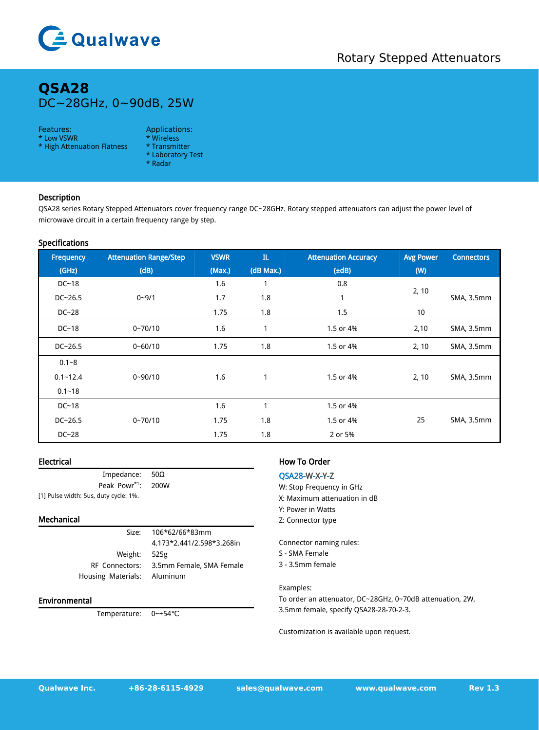

# **QSA28** DC~28GHz, 0~90dB, 25W

### Features: Applications:

- \* Low VSWR \* Wireless
- \* High Attenuation Flatness
- - \* Laboratory Test
	- \* Radar

# Description

QSA28 series Rotary Stepped Attenuators cover frequency range DC~28GHz. Rotary stepped attenuators can adjust the power level of microwave circuit in a certain frequency range by step.

# Specifications

| Frequency    | <b>Attenuation Range/Step</b> | <b>VSWR</b> | ${\rm I\hspace{-.1em}I\hspace{-.1em}L}$ | <b>Attenuation Accuracy</b> | <b>Avg Power</b> | <b>Connectors</b> |
|--------------|-------------------------------|-------------|-----------------------------------------|-----------------------------|------------------|-------------------|
| (GHz)        | (dB)                          | (Max.)      | (dB Max.)                               | $(\pm dB)$                  | (W)              |                   |
| $DC-18$      |                               | 1.6         |                                         | 0.8                         | 2, 10            |                   |
| $DC - 26.5$  | $0 - 9/1$                     | 1.7         | 1.8                                     | $\mathbf{1}$                |                  | SMA, 3.5mm        |
| $DC-28$      |                               | 1.75        | 1.8                                     | 1.5                         | 10               |                   |
| $DC-18$      | $0 - 70/10$                   | 1.6         |                                         | 1.5 or 4%                   | 2,10             | SMA, 3.5mm        |
| $DC - 26.5$  | $0 - 60/10$                   | 1.75        | 1.8                                     | 1.5 or 4%                   | 2, 10            | SMA, 3.5mm        |
| $0.1 - 8$    |                               |             |                                         |                             |                  |                   |
| $0.1 - 12.4$ | $0 - 90/10$                   | 1.6         | $\mathbf{1}$                            | 1.5 or 4%                   | 2, 10            | SMA, 3.5mm        |
| $0.1 - 18$   |                               |             |                                         |                             |                  |                   |
| $DC-18$      |                               | 1.6         |                                         | 1.5 or 4%                   |                  |                   |
| $DC - 26.5$  | $0 - 70/10$                   | 1.75        | 1.8                                     | 1.5 or 4%                   | 25               | SMA, 3.5mm        |
| $DC-28$      |                               | 1.75        | 1.8                                     | 2 or 5%                     |                  |                   |

# Electrical

| Impedance: $50\Omega$                 |  | QS/  |  |  |  |
|---------------------------------------|--|------|--|--|--|
| Peak Powr <sup>*1</sup> : 200W        |  | w: s |  |  |  |
| [1] Pulse width: 5us, duty cycle: 1%. |  |      |  |  |  |

# Mechanical

Weight: 525g Housing Materials: Aluminum

Size: 106\*62/66\*83mm 4.173\*2.441/2.598\*3.268in RF Connectors: 3.5mm Female, SMA Female

### Environmental

Temperature: 0~+54℃

# How To Order

## QSA28-W-X-Y-Z

W: Stop Frequency in GHz X: Maximum attenuation in dB Y: Power in Watts Z: Connector type

Connector naming rules:

- S SMA Female
- 3 3.5mm female

Examples:

To order an attenuator, DC~28GHz, 0~70dB attenuation, 2W, 3.5mm female, specify QSA28-28-70-2-3.

Customization is available upon request.